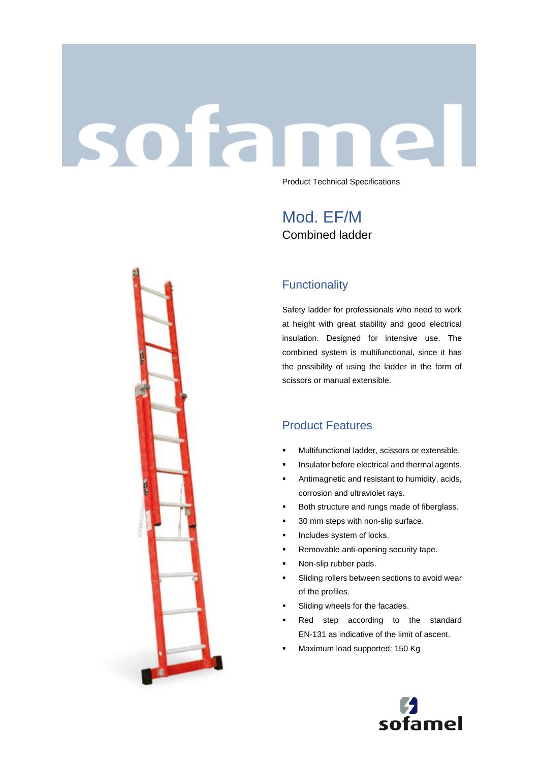# sofan Product Technical Specifications

Mod. EF/M Combined ladder

## **Functionality**

Safety ladder for professionals who need to work at height with great stability and good electrical insulation. Designed for intensive use. The combined system is multifunctional, since it has the possibility of using the ladder in the form of scissors or manual extensible.

## Product Features

- Multifunctional ladder, scissors or extensible.
- **·** Insulator before electrical and thermal agents.
- **EXECUTE:** Antimagnetic and resistant to humidity, acids, corrosion and ultraviolet rays.
- Both structure and rungs made of fiberglass.
- 30 mm steps with non-slip surface.
- **·** Includes system of locks.
- Removable anti-opening security tape.
- Non-slip rubber pads.
- Sliding rollers between sections to avoid wear of the profiles.
- Sliding wheels for the facades.
- Red step according to the standard EN-131 as indicative of the limit of ascent.
- Maximum load supported: 150 Kg